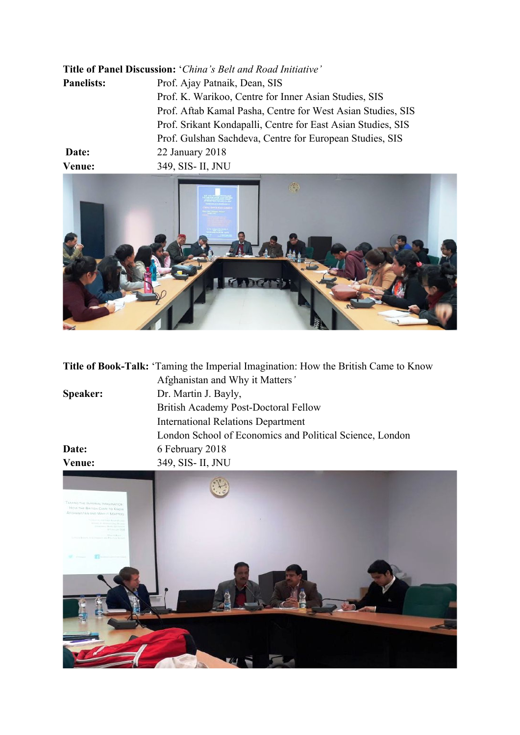| Title of Panel Discussion: 'China's Belt and Road Initiative' |                                                              |
|---------------------------------------------------------------|--------------------------------------------------------------|
| <b>Panelists:</b>                                             | Prof. Ajay Patnaik, Dean, SIS                                |
|                                                               | Prof. K. Warikoo, Centre for Inner Asian Studies, SIS        |
|                                                               | Prof. Aftab Kamal Pasha, Centre for West Asian Studies, SIS  |
|                                                               | Prof. Srikant Kondapalli, Centre for East Asian Studies, SIS |
|                                                               | Prof. Gulshan Sachdeva, Centre for European Studies, SIS     |
| Date:                                                         | 22 January 2018                                              |
| Venue:                                                        | 349, SIS- II, JNU                                            |



|          | <b>Title of Book-Talk:</b> 'Taming the Imperial Imagination: How the British Came to Know |
|----------|-------------------------------------------------------------------------------------------|
|          | Afghanistan and Why it Matters'                                                           |
| Speaker: | Dr. Martin J. Bayly,                                                                      |
|          | British Academy Post-Doctoral Fellow                                                      |
|          | <b>International Relations Department</b>                                                 |
|          | London School of Economics and Political Science, London                                  |
| Date:    | 6 February 2018                                                                           |
| Venue:   | 349, SIS- II, JNU                                                                         |

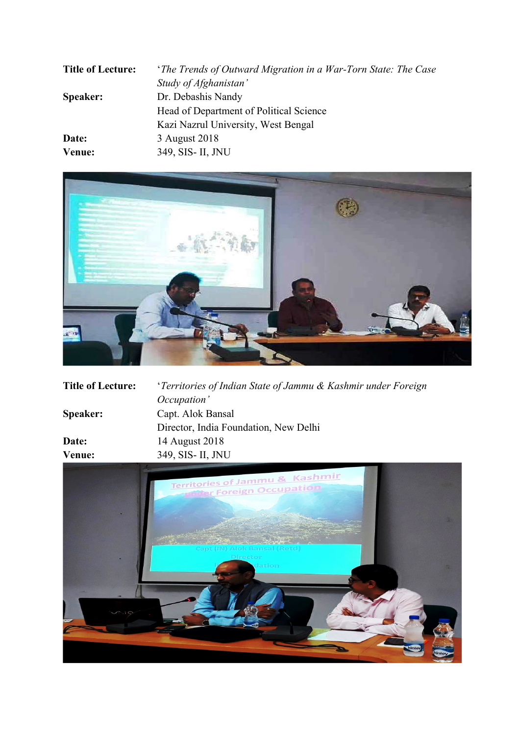| <b>Title of Lecture:</b> | <i>'The Trends of Outward Migration in a War-Torn State: The Case</i> |
|--------------------------|-----------------------------------------------------------------------|
|                          | Study of Afghanistan'                                                 |
| <b>Speaker:</b>          | Dr. Debashis Nandy                                                    |
|                          | Head of Department of Political Science                               |
|                          | Kazi Nazrul University, West Bengal                                   |
| Date:                    | 3 August 2018                                                         |
| Venue:                   | 349, SIS- II, JNU                                                     |



| <b>Title of Lecture:</b> | 'Territories of Indian State of Jammu & Kashmir under Foreign |
|--------------------------|---------------------------------------------------------------|
|                          | Occupation'                                                   |
| Speaker:                 | Capt. Alok Bansal                                             |
|                          | Director, India Foundation, New Delhi                         |
| Date:                    | 14 August 2018                                                |
| Venue:                   | 349, SIS- II, JNU                                             |
|                          |                                                               |